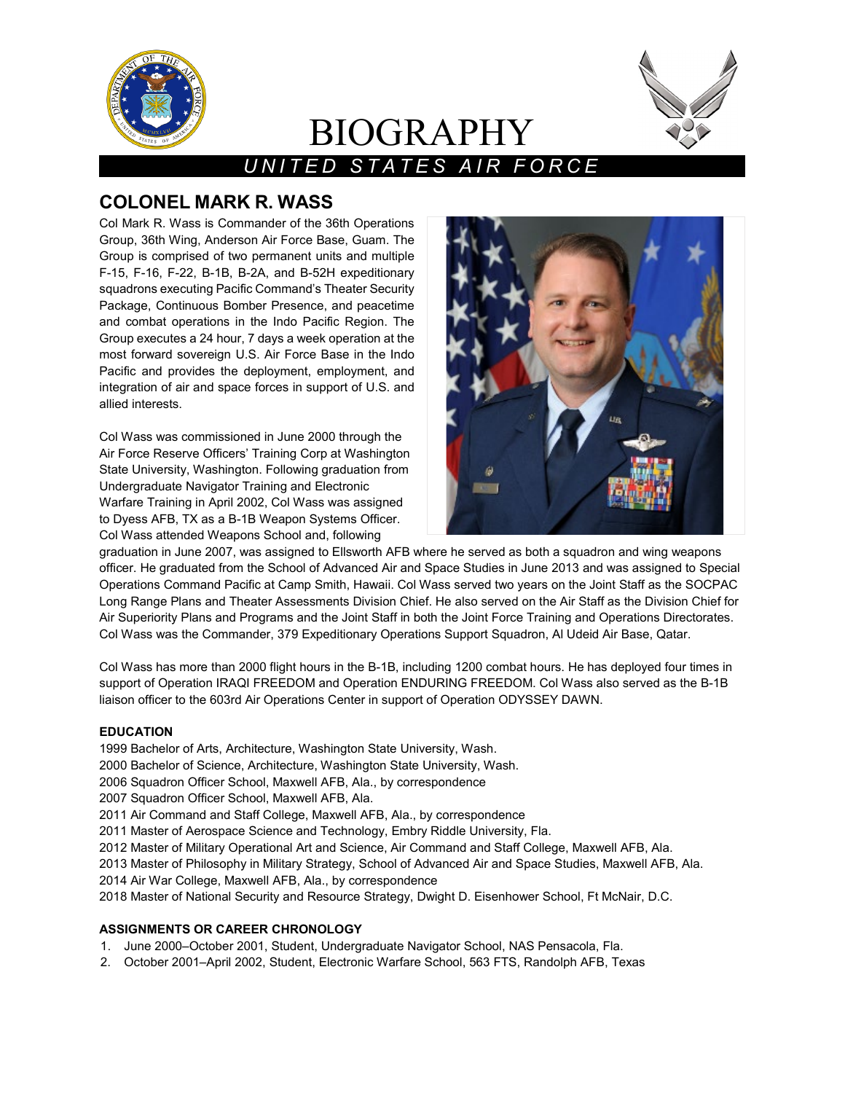

# BIOGRAPHY



# *UNITED STATES AIR FORCE*

# **COLONEL MARK R. WASS**

Col Mark R. Wass is Commander of the 36th Operations Group, 36th Wing, Anderson Air Force Base, Guam. The Group is comprised of two permanent units and multiple F-15, F-16, F-22, B-1B, B-2A, and B-52H expeditionary squadrons executing Pacific Command's Theater Security Package, Continuous Bomber Presence, and peacetime and combat operations in the Indo Pacific Region. The Group executes a 24 hour, 7 days a week operation at the most forward sovereign U.S. Air Force Base in the Indo Pacific and provides the deployment, employment, and integration of air and space forces in support of U.S. and allied interests.

Col Wass was commissioned in June 2000 through the Air Force Reserve Officers' Training Corp at Washington State University, Washington. Following graduation from Undergraduate Navigator Training and Electronic Warfare Training in April 2002, Col Wass was assigned to Dyess AFB, TX as a B-1B Weapon Systems Officer. Col Wass attended Weapons School and, following



graduation in June 2007, was assigned to Ellsworth AFB where he served as both a squadron and wing weapons officer. He graduated from the School of Advanced Air and Space Studies in June 2013 and was assigned to Special Operations Command Pacific at Camp Smith, Hawaii. Col Wass served two years on the Joint Staff as the SOCPAC Long Range Plans and Theater Assessments Division Chief. He also served on the Air Staff as the Division Chief for Air Superiority Plans and Programs and the Joint Staff in both the Joint Force Training and Operations Directorates. Col Wass was the Commander, 379 Expeditionary Operations Support Squadron, Al Udeid Air Base, Qatar.

Col Wass has more than 2000 flight hours in the B-1B, including 1200 combat hours. He has deployed four times in support of Operation IRAQI FREEDOM and Operation ENDURING FREEDOM. Col Wass also served as the B-1B liaison officer to the 603rd Air Operations Center in support of Operation ODYSSEY DAWN.

# **EDUCATION**

1999 Bachelor of Arts, Architecture, Washington State University, Wash.

- 2000 Bachelor of Science, Architecture, Washington State University, Wash.
- 2006 Squadron Officer School, Maxwell AFB, Ala., by correspondence
- 2007 Squadron Officer School, Maxwell AFB, Ala.
- 2011 Air Command and Staff College, Maxwell AFB, Ala., by correspondence

2011 Master of Aerospace Science and Technology, Embry Riddle University, Fla.

- 2012 Master of Military Operational Art and Science, Air Command and Staff College, Maxwell AFB, Ala.
- 2013 Master of Philosophy in Military Strategy, School of Advanced Air and Space Studies, Maxwell AFB, Ala.
- 2014 Air War College, Maxwell AFB, Ala., by correspondence
- 2018 Master of National Security and Resource Strategy, Dwight D. Eisenhower School, Ft McNair, D.C.

# **ASSIGNMENTS OR CAREER CHRONOLOGY**

- 1. June 2000–October 2001, Student, Undergraduate Navigator School, NAS Pensacola, Fla.
- 2. October 2001–April 2002, Student, Electronic Warfare School, 563 FTS, Randolph AFB, Texas